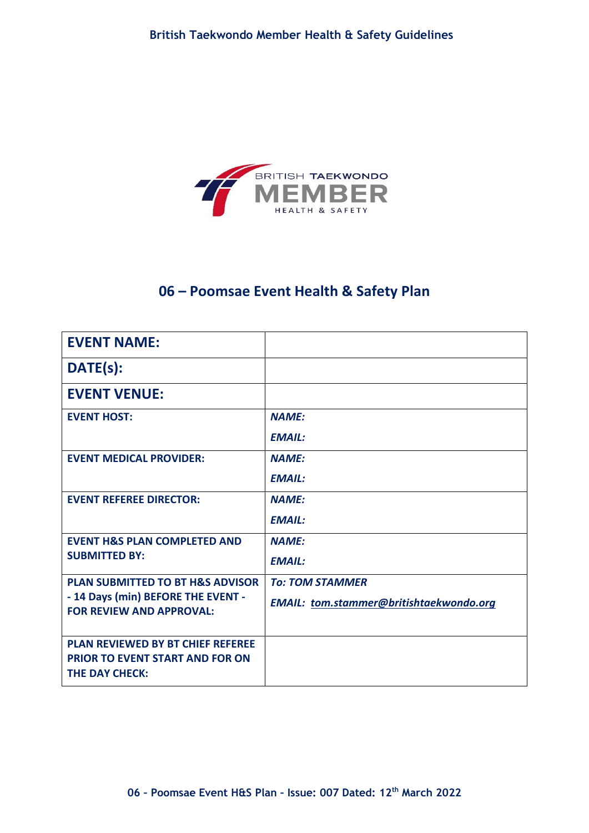

# **06 – Poomsae Event Health & Safety Plan**

| <b>EVENT NAME:</b>                                                    |                                                |
|-----------------------------------------------------------------------|------------------------------------------------|
| DATE(s):                                                              |                                                |
| <b>EVENT VENUE:</b>                                                   |                                                |
| <b>EVENT HOST:</b>                                                    | <b>NAME:</b>                                   |
|                                                                       | <b>EMAIL:</b>                                  |
| <b>EVENT MEDICAL PROVIDER:</b>                                        | <b>NAMF:</b>                                   |
|                                                                       | <b>EMAIL:</b>                                  |
| <b>EVENT REFEREE DIRECTOR:</b>                                        | <b>NAME:</b>                                   |
|                                                                       | <b>EMAIL:</b>                                  |
| <b>EVENT H&amp;S PLAN COMPLETED AND</b>                               | <b>NAME:</b>                                   |
| <b>SUBMITTED BY:</b>                                                  | <b>EMAIL:</b>                                  |
| <b>PLAN SUBMITTED TO BT H&amp;S ADVISOR</b>                           | <b>To: TOM STAMMER</b>                         |
| - 14 Days (min) BEFORE THE EVENT -<br><b>FOR REVIEW AND APPROVAL:</b> | <b>EMAIL:</b> tom.stammer@britishtaekwondo.org |
|                                                                       |                                                |
| <b>PLAN REVIEWED BY BT CHIEF REFEREE</b>                              |                                                |
| <b>PRIOR TO EVENT START AND FOR ON</b><br><b>THE DAY CHECK:</b>       |                                                |
|                                                                       |                                                |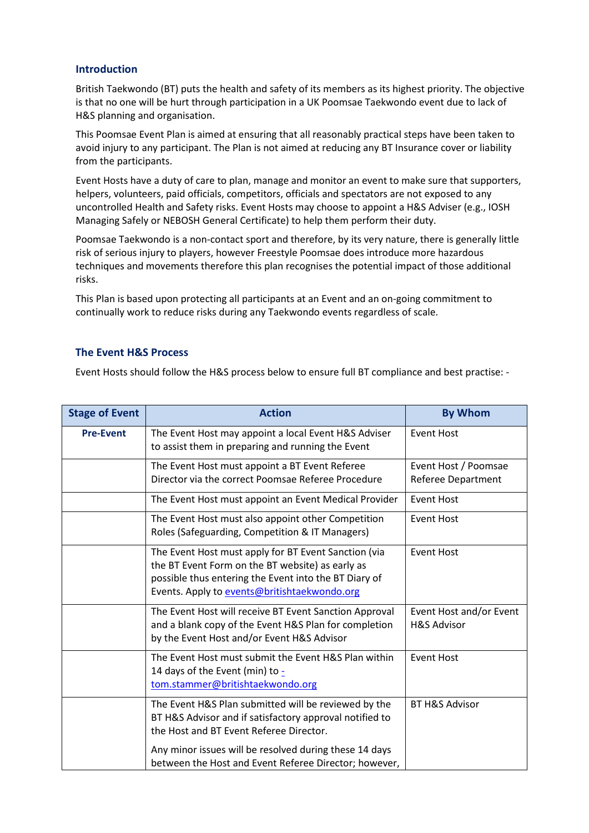#### **Introduction**

British Taekwondo (BT) puts the health and safety of its members as its highest priority. The objective is that no one will be hurt through participation in a UK Poomsae Taekwondo event due to lack of H&S planning and organisation.

This Poomsae Event Plan is aimed at ensuring that all reasonably practical steps have been taken to avoid injury to any participant. The Plan is not aimed at reducing any BT Insurance cover or liability from the participants.

Event Hosts have a duty of care to plan, manage and monitor an event to make sure that supporters, helpers, volunteers, paid officials, competitors, officials and spectators are not exposed to any uncontrolled Health and Safety risks. Event Hosts may choose to appoint a H&S Adviser (e.g., IOSH Managing Safely or NEBOSH General Certificate) to help them perform their duty.

Poomsae Taekwondo is a non-contact sport and therefore, by its very nature, there is generally little risk of serious injury to players, however Freestyle Poomsae does introduce more hazardous techniques and movements therefore this plan recognises the potential impact of those additional risks.

This Plan is based upon protecting all participants at an Event and an on-going commitment to continually work to reduce risks during any Taekwondo events regardless of scale.

#### **The Event H&S Process**

Event Hosts should follow the H&S process below to ensure full BT compliance and best practise: -

| <b>Stage of Event</b> | <b>Action</b>                                                                                                                                                                                                     | <b>By Whom</b>                                    |
|-----------------------|-------------------------------------------------------------------------------------------------------------------------------------------------------------------------------------------------------------------|---------------------------------------------------|
| <b>Pre-Event</b>      | The Event Host may appoint a local Event H&S Adviser<br>to assist them in preparing and running the Event                                                                                                         | <b>Event Host</b>                                 |
|                       | The Event Host must appoint a BT Event Referee<br>Director via the correct Poomsae Referee Procedure                                                                                                              | Event Host / Poomsae<br>Referee Department        |
|                       | The Event Host must appoint an Event Medical Provider                                                                                                                                                             | <b>Event Host</b>                                 |
|                       | The Event Host must also appoint other Competition<br>Roles (Safeguarding, Competition & IT Managers)                                                                                                             | <b>Event Host</b>                                 |
|                       | The Event Host must apply for BT Event Sanction (via<br>the BT Event Form on the BT website) as early as<br>possible thus entering the Event into the BT Diary of<br>Events. Apply to events@britishtaekwondo.org | <b>Event Host</b>                                 |
|                       | The Event Host will receive BT Event Sanction Approval<br>and a blank copy of the Event H&S Plan for completion<br>by the Event Host and/or Event H&S Advisor                                                     | Event Host and/or Event<br><b>H&amp;S Advisor</b> |
|                       | The Event Host must submit the Event H&S Plan within<br>14 days of the Event (min) to -<br>tom.stammer@britishtaekwondo.org                                                                                       | <b>Event Host</b>                                 |
|                       | The Event H&S Plan submitted will be reviewed by the<br>BT H&S Advisor and if satisfactory approval notified to<br>the Host and BT Event Referee Director.                                                        | <b>BT H&amp;S Advisor</b>                         |
|                       | Any minor issues will be resolved during these 14 days<br>between the Host and Event Referee Director; however,                                                                                                   |                                                   |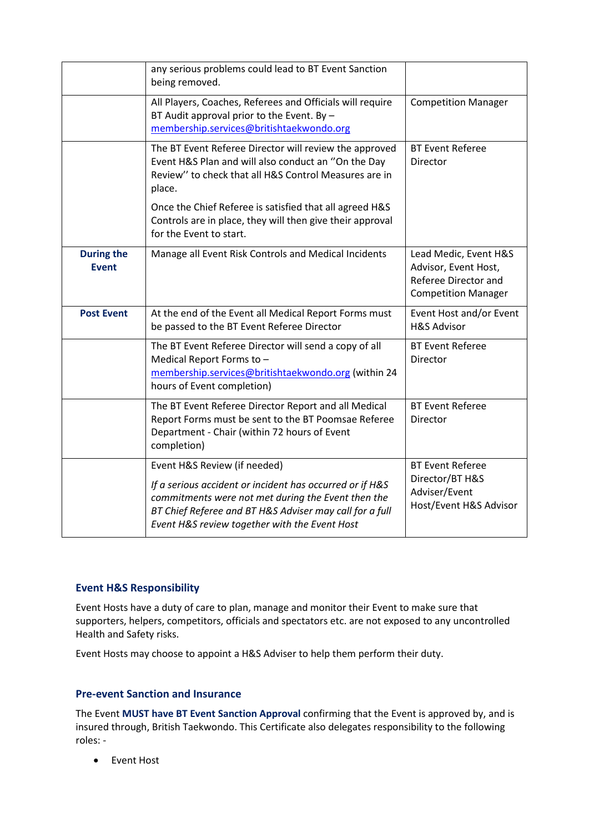|                                   | any serious problems could lead to BT Event Sanction<br>being removed.                                                                                                                                                                                     |                                                                                                     |
|-----------------------------------|------------------------------------------------------------------------------------------------------------------------------------------------------------------------------------------------------------------------------------------------------------|-----------------------------------------------------------------------------------------------------|
|                                   | All Players, Coaches, Referees and Officials will require<br>BT Audit approval prior to the Event. By -<br>membership.services@britishtaekwondo.org                                                                                                        | <b>Competition Manager</b>                                                                          |
|                                   | The BT Event Referee Director will review the approved<br>Event H&S Plan and will also conduct an "On the Day<br>Review" to check that all H&S Control Measures are in<br>place.                                                                           | <b>BT Event Referee</b><br>Director                                                                 |
|                                   | Once the Chief Referee is satisfied that all agreed H&S<br>Controls are in place, they will then give their approval<br>for the Event to start.                                                                                                            |                                                                                                     |
| <b>During the</b><br><b>Event</b> | Manage all Event Risk Controls and Medical Incidents                                                                                                                                                                                                       | Lead Medic, Event H&S<br>Advisor, Event Host,<br>Referee Director and<br><b>Competition Manager</b> |
| <b>Post Event</b>                 | At the end of the Event all Medical Report Forms must<br>be passed to the BT Event Referee Director                                                                                                                                                        | Event Host and/or Event<br><b>H&amp;S Advisor</b>                                                   |
|                                   | The BT Event Referee Director will send a copy of all<br>Medical Report Forms to -<br>membership.services@britishtaekwondo.org (within 24<br>hours of Event completion)                                                                                    | <b>BT Event Referee</b><br>Director                                                                 |
|                                   | The BT Event Referee Director Report and all Medical<br>Report Forms must be sent to the BT Poomsae Referee<br>Department - Chair (within 72 hours of Event<br>completion)                                                                                 | <b>BT Event Referee</b><br>Director                                                                 |
|                                   | Event H&S Review (if needed)<br>If a serious accident or incident has occurred or if H&S<br>commitments were not met during the Event then the<br>BT Chief Referee and BT H&S Adviser may call for a full<br>Event H&S review together with the Event Host | <b>BT Event Referee</b><br>Director/BT H&S<br>Adviser/Event<br>Host/Event H&S Advisor               |

#### **Event H&S Responsibility**

Event Hosts have a duty of care to plan, manage and monitor their Event to make sure that supporters, helpers, competitors, officials and spectators etc. are not exposed to any uncontrolled Health and Safety risks.

Event Hosts may choose to appoint a H&S Adviser to help them perform their duty.

#### **Pre-event Sanction and Insurance**

The Event **MUST have BT Event Sanction Approval** confirming that the Event is approved by, and is insured through, British Taekwondo. This Certificate also delegates responsibility to the following roles: -

• Event Host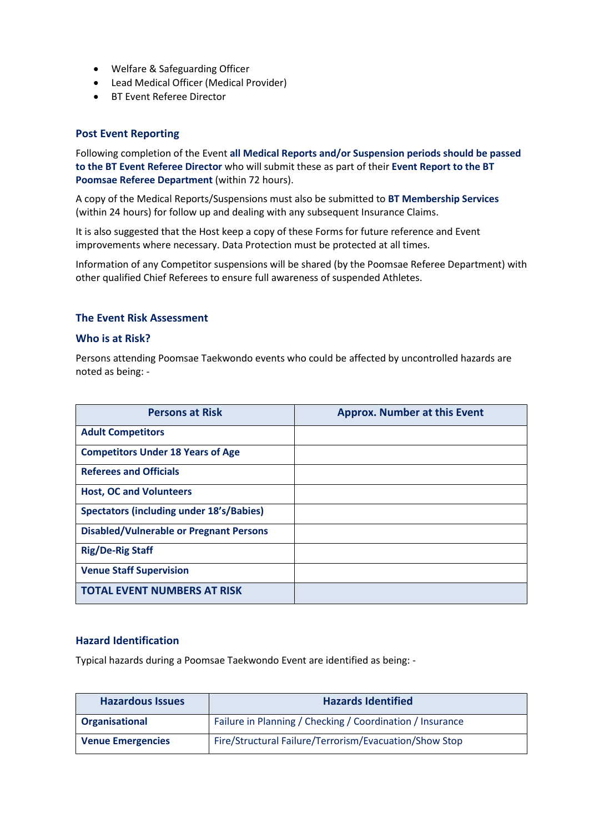- Welfare & Safeguarding Officer
- Lead Medical Officer (Medical Provider)
- BT Event Referee Director

#### **Post Event Reporting**

Following completion of the Event **all Medical Reports and/or Suspension periods should be passed to the BT Event Referee Director** who will submit these as part of their **Event Report to the BT Poomsae Referee Department** (within 72 hours).

A copy of the Medical Reports/Suspensions must also be submitted to **BT Membership Services** (within 24 hours) for follow up and dealing with any subsequent Insurance Claims.

It is also suggested that the Host keep a copy of these Forms for future reference and Event improvements where necessary. Data Protection must be protected at all times.

Information of any Competitor suspensions will be shared (by the Poomsae Referee Department) with other qualified Chief Referees to ensure full awareness of suspended Athletes.

#### **The Event Risk Assessment**

#### **Who is at Risk?**

Persons attending Poomsae Taekwondo events who could be affected by uncontrolled hazards are noted as being: -

| <b>Persons at Risk</b>                          | <b>Approx. Number at this Event</b> |
|-------------------------------------------------|-------------------------------------|
| <b>Adult Competitors</b>                        |                                     |
| <b>Competitors Under 18 Years of Age</b>        |                                     |
| <b>Referees and Officials</b>                   |                                     |
| <b>Host, OC and Volunteers</b>                  |                                     |
| <b>Spectators (including under 18's/Babies)</b> |                                     |
| <b>Disabled/Vulnerable or Pregnant Persons</b>  |                                     |
| <b>Rig/De-Rig Staff</b>                         |                                     |
| <b>Venue Staff Supervision</b>                  |                                     |
| <b>TOTAL EVENT NUMBERS AT RISK</b>              |                                     |

#### **Hazard Identification**

Typical hazards during a Poomsae Taekwondo Event are identified as being: -

| <b>Hazardous Issues</b>  | <b>Hazards Identified</b>                                 |
|--------------------------|-----------------------------------------------------------|
| Organisational           | Failure in Planning / Checking / Coordination / Insurance |
| <b>Venue Emergencies</b> | Fire/Structural Failure/Terrorism/Evacuation/Show Stop    |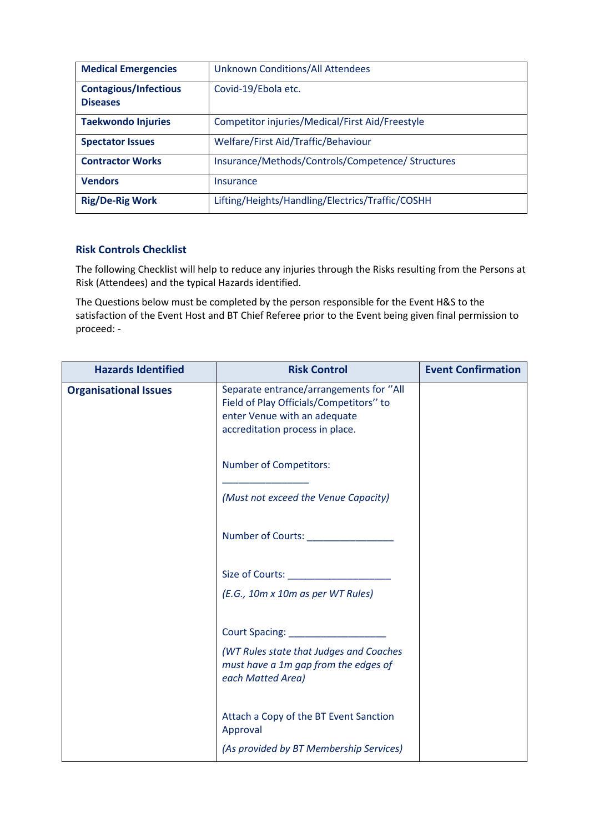| <b>Medical Emergencies</b>                      | <b>Unknown Conditions/All Attendees</b>           |
|-------------------------------------------------|---------------------------------------------------|
| <b>Contagious/Infectious</b><br><b>Diseases</b> | Covid-19/Ebola etc.                               |
| <b>Taekwondo Injuries</b>                       | Competitor injuries/Medical/First Aid/Freestyle   |
| <b>Spectator Issues</b>                         | Welfare/First Aid/Traffic/Behaviour               |
| <b>Contractor Works</b>                         | Insurance/Methods/Controls/Competence/ Structures |
| <b>Vendors</b>                                  | Insurance                                         |
| <b>Rig/De-Rig Work</b>                          | Lifting/Heights/Handling/Electrics/Traffic/COSHH  |

### **Risk Controls Checklist**

The following Checklist will help to reduce any injuries through the Risks resulting from the Persons at Risk (Attendees) and the typical Hazards identified.

The Questions below must be completed by the person responsible for the Event H&S to the satisfaction of the Event Host and BT Chief Referee prior to the Event being given final permission to proceed: -

| <b>Hazards Identified</b>    | <b>Risk Control</b>                                                                                                                                   | <b>Event Confirmation</b> |
|------------------------------|-------------------------------------------------------------------------------------------------------------------------------------------------------|---------------------------|
| <b>Organisational Issues</b> | Separate entrance/arrangements for "All<br>Field of Play Officials/Competitors" to<br>enter Venue with an adequate<br>accreditation process in place. |                           |
|                              | <b>Number of Competitors:</b>                                                                                                                         |                           |
|                              | (Must not exceed the Venue Capacity)                                                                                                                  |                           |
|                              | Number of Courts: Number of Courts:                                                                                                                   |                           |
|                              | (E.G., 10m x 10m as per WT Rules)                                                                                                                     |                           |
|                              | (WT Rules state that Judges and Coaches<br>must have a 1m gap from the edges of<br>each Matted Area)                                                  |                           |
|                              | Attach a Copy of the BT Event Sanction<br>Approval                                                                                                    |                           |
|                              | (As provided by BT Membership Services)                                                                                                               |                           |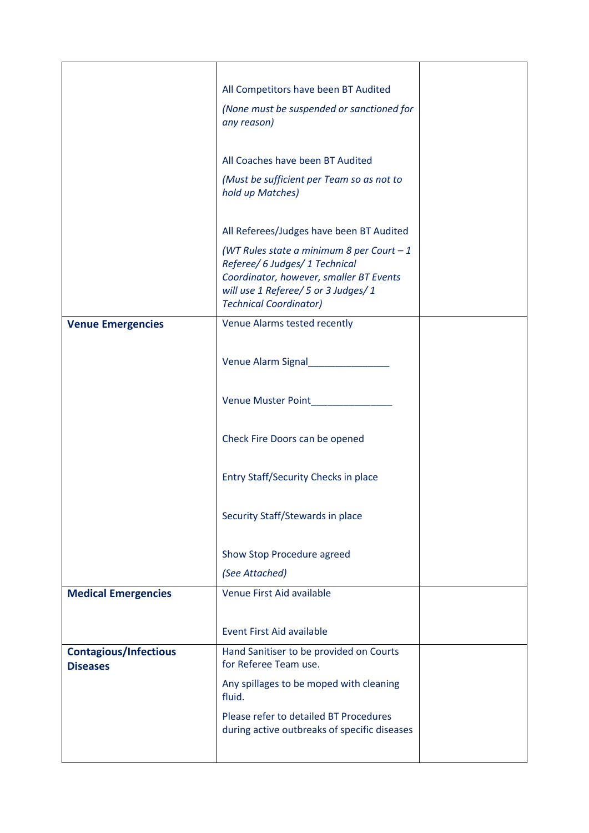|                                                 | All Competitors have been BT Audited                                            |  |
|-------------------------------------------------|---------------------------------------------------------------------------------|--|
|                                                 | (None must be suspended or sanctioned for                                       |  |
|                                                 | any reason)                                                                     |  |
|                                                 |                                                                                 |  |
|                                                 | All Coaches have been BT Audited                                                |  |
|                                                 | (Must be sufficient per Team so as not to                                       |  |
|                                                 | hold up Matches)                                                                |  |
|                                                 |                                                                                 |  |
|                                                 | All Referees/Judges have been BT Audited                                        |  |
|                                                 | (WT Rules state a minimum 8 per Court $-1$                                      |  |
|                                                 | Referee/ 6 Judges/ 1 Technical                                                  |  |
|                                                 | Coordinator, however, smaller BT Events<br>will use 1 Referee/ 5 or 3 Judges/ 1 |  |
|                                                 | <b>Technical Coordinator)</b>                                                   |  |
| <b>Venue Emergencies</b>                        | Venue Alarms tested recently                                                    |  |
|                                                 |                                                                                 |  |
|                                                 |                                                                                 |  |
|                                                 | Venue Alarm Signal                                                              |  |
|                                                 |                                                                                 |  |
|                                                 | Venue Muster Point                                                              |  |
|                                                 |                                                                                 |  |
|                                                 | Check Fire Doors can be opened                                                  |  |
|                                                 |                                                                                 |  |
|                                                 |                                                                                 |  |
|                                                 | Entry Staff/Security Checks in place                                            |  |
|                                                 |                                                                                 |  |
|                                                 | Security Staff/Stewards in place                                                |  |
|                                                 |                                                                                 |  |
|                                                 | Show Stop Procedure agreed                                                      |  |
|                                                 | (See Attached)                                                                  |  |
| <b>Medical Emergencies</b>                      | Venue First Aid available                                                       |  |
|                                                 |                                                                                 |  |
|                                                 | <b>Event First Aid available</b>                                                |  |
|                                                 |                                                                                 |  |
| <b>Contagious/Infectious</b><br><b>Diseases</b> | Hand Sanitiser to be provided on Courts<br>for Referee Team use.                |  |
|                                                 | Any spillages to be moped with cleaning                                         |  |
|                                                 | fluid.                                                                          |  |
|                                                 | Please refer to detailed BT Procedures                                          |  |
|                                                 | during active outbreaks of specific diseases                                    |  |
|                                                 |                                                                                 |  |
|                                                 |                                                                                 |  |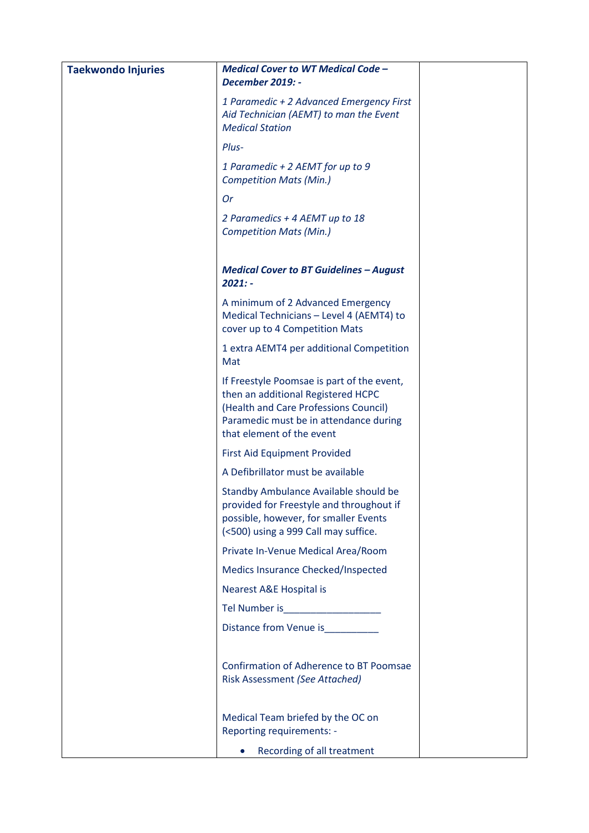| <b>Taekwondo Injuries</b> | <b>Medical Cover to WT Medical Code -</b>                                                                                                                                                        |  |
|---------------------------|--------------------------------------------------------------------------------------------------------------------------------------------------------------------------------------------------|--|
|                           | <b>December 2019: -</b>                                                                                                                                                                          |  |
|                           | 1 Paramedic + 2 Advanced Emergency First<br>Aid Technician (AEMT) to man the Event<br><b>Medical Station</b>                                                                                     |  |
|                           | Plus-                                                                                                                                                                                            |  |
|                           | 1 Paramedic + 2 AEMT for up to 9<br><b>Competition Mats (Min.)</b>                                                                                                                               |  |
|                           | <b>Or</b>                                                                                                                                                                                        |  |
|                           | 2 Paramedics + 4 AEMT up to 18<br><b>Competition Mats (Min.)</b>                                                                                                                                 |  |
|                           | <b>Medical Cover to BT Guidelines - August</b><br>$2021: -$                                                                                                                                      |  |
|                           | A minimum of 2 Advanced Emergency<br>Medical Technicians - Level 4 (AEMT4) to<br>cover up to 4 Competition Mats                                                                                  |  |
|                           | 1 extra AEMT4 per additional Competition<br>Mat                                                                                                                                                  |  |
|                           | If Freestyle Poomsae is part of the event,<br>then an additional Registered HCPC<br>(Health and Care Professions Council)<br>Paramedic must be in attendance during<br>that element of the event |  |
|                           | First Aid Equipment Provided                                                                                                                                                                     |  |
|                           | A Defibrillator must be available                                                                                                                                                                |  |
|                           | Standby Ambulance Available should be<br>provided for Freestyle and throughout if<br>possible, however, for smaller Events<br>(<500) using a 999 Call may suffice.                               |  |
|                           | Private In-Venue Medical Area/Room                                                                                                                                                               |  |
|                           | Medics Insurance Checked/Inspected                                                                                                                                                               |  |
|                           | <b>Nearest A&amp;E Hospital is</b>                                                                                                                                                               |  |
|                           | Tel Number is <b>All School Community</b> Tel Number                                                                                                                                             |  |
|                           | Distance from Venue is                                                                                                                                                                           |  |
|                           | <b>Confirmation of Adherence to BT Poomsae</b><br>Risk Assessment (See Attached)                                                                                                                 |  |
|                           | Medical Team briefed by the OC on<br>Reporting requirements: -                                                                                                                                   |  |
|                           | Recording of all treatment                                                                                                                                                                       |  |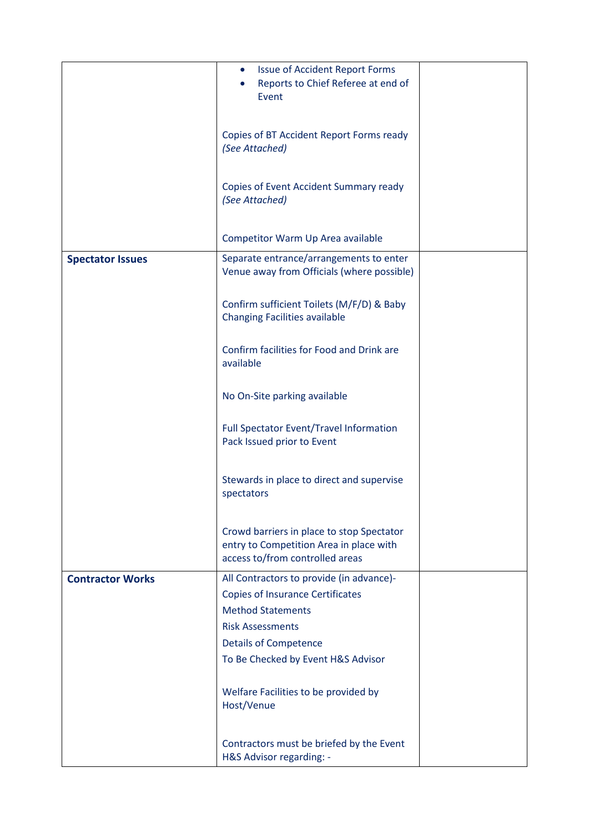|                         | <b>Issue of Accident Report Forms</b><br>$\bullet$<br>Reports to Chief Referee at end of<br>Event                                          |  |
|-------------------------|--------------------------------------------------------------------------------------------------------------------------------------------|--|
|                         | Copies of BT Accident Report Forms ready<br>(See Attached)                                                                                 |  |
|                         | Copies of Event Accident Summary ready<br>(See Attached)                                                                                   |  |
|                         | Competitor Warm Up Area available                                                                                                          |  |
| <b>Spectator Issues</b> | Separate entrance/arrangements to enter<br>Venue away from Officials (where possible)                                                      |  |
|                         | Confirm sufficient Toilets (M/F/D) & Baby<br><b>Changing Facilities available</b>                                                          |  |
|                         | Confirm facilities for Food and Drink are<br>available                                                                                     |  |
|                         | No On-Site parking available                                                                                                               |  |
|                         | Full Spectator Event/Travel Information<br>Pack Issued prior to Event                                                                      |  |
|                         | Stewards in place to direct and supervise<br>spectators                                                                                    |  |
|                         | Crowd barriers in place to stop Spectator<br>entry to Competition Area in place with<br>access to/from controlled areas                    |  |
| <b>Contractor Works</b> | All Contractors to provide (in advance)-<br><b>Copies of Insurance Certificates</b><br><b>Method Statements</b><br><b>Risk Assessments</b> |  |
|                         | <b>Details of Competence</b><br>To Be Checked by Event H&S Advisor                                                                         |  |
|                         |                                                                                                                                            |  |
|                         | Welfare Facilities to be provided by<br>Host/Venue                                                                                         |  |
|                         | Contractors must be briefed by the Event<br>H&S Advisor regarding: -                                                                       |  |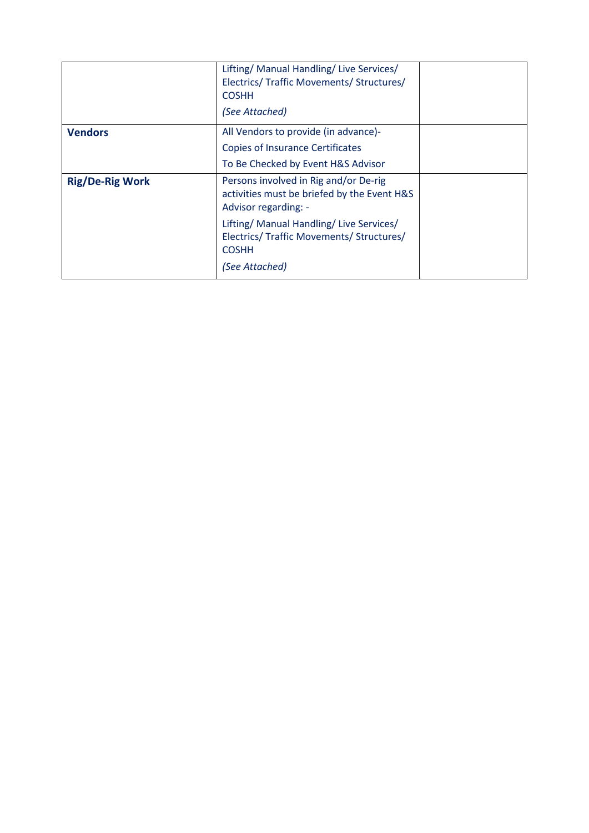|                        | Lifting/ Manual Handling/ Live Services/<br>Electrics/ Traffic Movements/ Structures/<br><b>COSHH</b><br>(See Attached) |  |
|------------------------|-------------------------------------------------------------------------------------------------------------------------|--|
| <b>Vendors</b>         | All Vendors to provide (in advance)-                                                                                    |  |
|                        | <b>Copies of Insurance Certificates</b>                                                                                 |  |
|                        | To Be Checked by Event H&S Advisor                                                                                      |  |
| <b>Rig/De-Rig Work</b> | Persons involved in Rig and/or De-rig<br>activities must be briefed by the Event H&S<br>Advisor regarding: -            |  |
|                        | Lifting/ Manual Handling/ Live Services/<br>Electrics/ Traffic Movements/ Structures/<br><b>COSHH</b>                   |  |
|                        | (See Attached)                                                                                                          |  |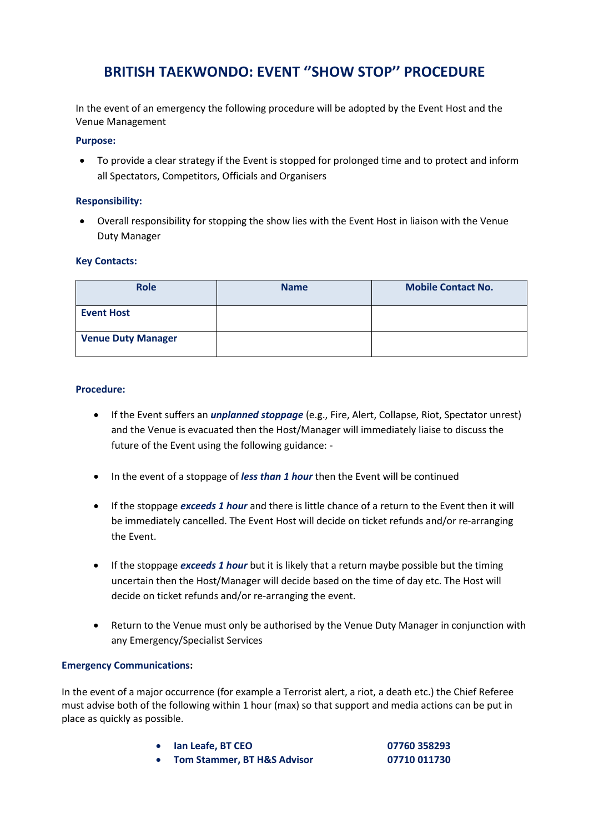# **BRITISH TAEKWONDO: EVENT ''SHOW STOP'' PROCEDURE**

In the event of an emergency the following procedure will be adopted by the Event Host and the Venue Management

#### **Purpose:**

• To provide a clear strategy if the Event is stopped for prolonged time and to protect and inform all Spectators, Competitors, Officials and Organisers

#### **Responsibility:**

• Overall responsibility for stopping the show lies with the Event Host in liaison with the Venue Duty Manager

#### **Key Contacts:**

| <b>Role</b>               | <b>Name</b> | <b>Mobile Contact No.</b> |
|---------------------------|-------------|---------------------------|
| <b>Event Host</b>         |             |                           |
| <b>Venue Duty Manager</b> |             |                           |

#### **Procedure:**

- If the Event suffers an *unplanned stoppage* (e.g., Fire, Alert, Collapse, Riot, Spectator unrest) and the Venue is evacuated then the Host/Manager will immediately liaise to discuss the future of the Event using the following guidance: -
- In the event of a stoppage of *less than 1 hour* then the Event will be continued
- If the stoppage *exceeds 1 hour* and there is little chance of a return to the Event then it will be immediately cancelled. The Event Host will decide on ticket refunds and/or re-arranging the Event.
- If the stoppage *exceeds 1 hour* but it is likely that a return maybe possible but the timing uncertain then the Host/Manager will decide based on the time of day etc. The Host will decide on ticket refunds and/or re-arranging the event.
- Return to the Venue must only be authorised by the Venue Duty Manager in conjunction with any Emergency/Specialist Services

#### **Emergency Communications:**

In the event of a major occurrence (for example a Terrorist alert, a riot, a death etc.) the Chief Referee must advise both of the following within 1 hour (max) so that support and media actions can be put in place as quickly as possible.

- **Ian Leafe, BT CEO 07760 358293**
- **Tom Stammer, BT H&S Advisor 07710 011730**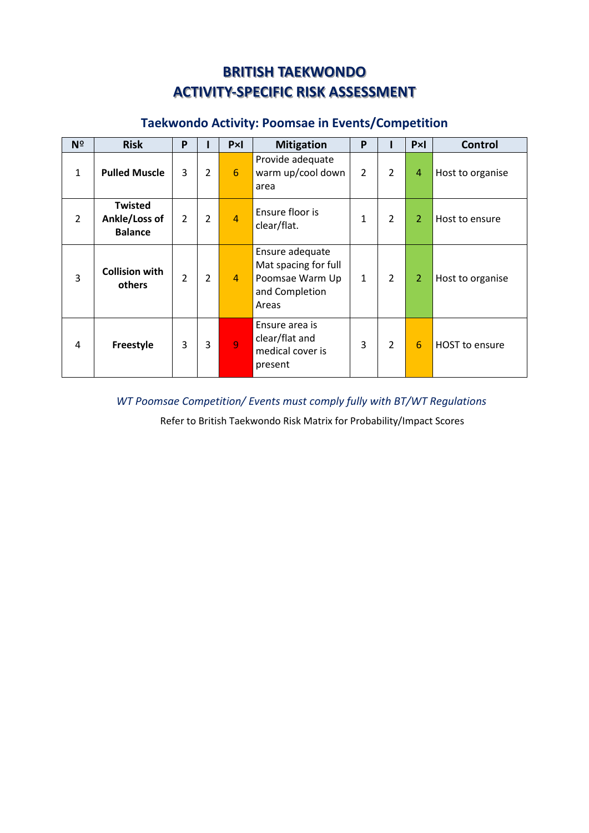# **BRITISH TAEKWONDO ACTIVITY-SPECIFIC RISK ASSESSMENT**

# **Taekwondo Activity: Poomsae in Events/Competition**

| Nº           | <b>Risk</b>                                       | P              |                | Px             | <b>Mitigation</b>                                                                     | P              |                | PxI            | <b>Control</b>   |
|--------------|---------------------------------------------------|----------------|----------------|----------------|---------------------------------------------------------------------------------------|----------------|----------------|----------------|------------------|
| $\mathbf{1}$ | <b>Pulled Muscle</b>                              | 3              | $\overline{2}$ | 6              | Provide adequate<br>warm up/cool down<br>area                                         | $\overline{2}$ | $\overline{2}$ | 4              | Host to organise |
| 2            | <b>Twisted</b><br>Ankle/Loss of<br><b>Balance</b> | $\mathcal{P}$  | $\overline{2}$ | $\overline{4}$ | Ensure floor is<br>clear/flat.                                                        | 1              | $\overline{2}$ | $\overline{2}$ | Host to ensure   |
| 3            | <b>Collision with</b><br>others                   | $\overline{2}$ | $\overline{2}$ | $\overline{4}$ | Ensure adequate<br>Mat spacing for full<br>Poomsae Warm Up<br>and Completion<br>Areas | $\mathbf{1}$   | $\overline{2}$ | $\overline{2}$ | Host to organise |
| 4            | <b>Freestyle</b>                                  | 3              | 3              | 9              | Ensure area is<br>clear/flat and<br>medical cover is<br>present                       | 3              | $\overline{2}$ | 6              | HOST to ensure   |

## *WT Poomsae Competition/ Events must comply fully with BT/WT Regulations*

Refer to British Taekwondo Risk Matrix for Probability/Impact Scores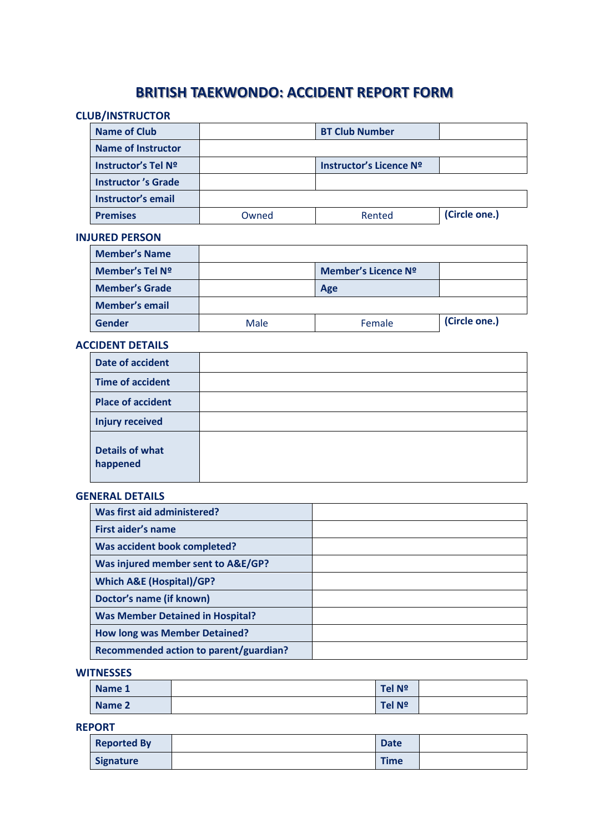# **BRITISH TAEKWONDO: ACCIDENT REPORT FORM**

## **CLUB/INSTRUCTOR**

| <b>Name of Club</b>       |       | <b>BT Club Number</b>   |               |
|---------------------------|-------|-------------------------|---------------|
| <b>Name of Instructor</b> |       |                         |               |
| Instructor's Tel Nº       |       | Instructor's Licence Nº |               |
| <b>Instructor's Grade</b> |       |                         |               |
| Instructor's email        |       |                         |               |
| <b>Premises</b>           | Owned | Rented                  | (Circle one.) |

### **INJURED PERSON**

| <b>Member's Name</b>  |      |                     |               |
|-----------------------|------|---------------------|---------------|
| Member's Tel Nº       |      | Member's Licence Nº |               |
| <b>Member's Grade</b> |      | Age                 |               |
| <b>Member's email</b> |      |                     |               |
| Gender                | Male | Female              | (Circle one.) |

#### **ACCIDENT DETAILS**

| <b>Date of accident</b>            |  |
|------------------------------------|--|
| <b>Time of accident</b>            |  |
| <b>Place of accident</b>           |  |
| <b>Injury received</b>             |  |
| <b>Details of what</b><br>happened |  |

### **GENERAL DETAILS**

| Was first aid administered?             |  |
|-----------------------------------------|--|
| First aider's name                      |  |
| Was accident book completed?            |  |
| Was injured member sent to A&E/GP?      |  |
| <b>Which A&amp;E (Hospital)/GP?</b>     |  |
| Doctor's name (if known)                |  |
| <b>Was Member Detained in Hospital?</b> |  |
| <b>How long was Member Detained?</b>    |  |
| Recommended action to parent/guardian?  |  |

#### **WITNESSES**

| Name 1 | Tel Nº |  |
|--------|--------|--|
| Name 2 | Tel Nº |  |

#### **REPORT**

| <b>Reported By</b> | <b>Date</b> |  |
|--------------------|-------------|--|
| <b>Signature</b>   | <b>Time</b> |  |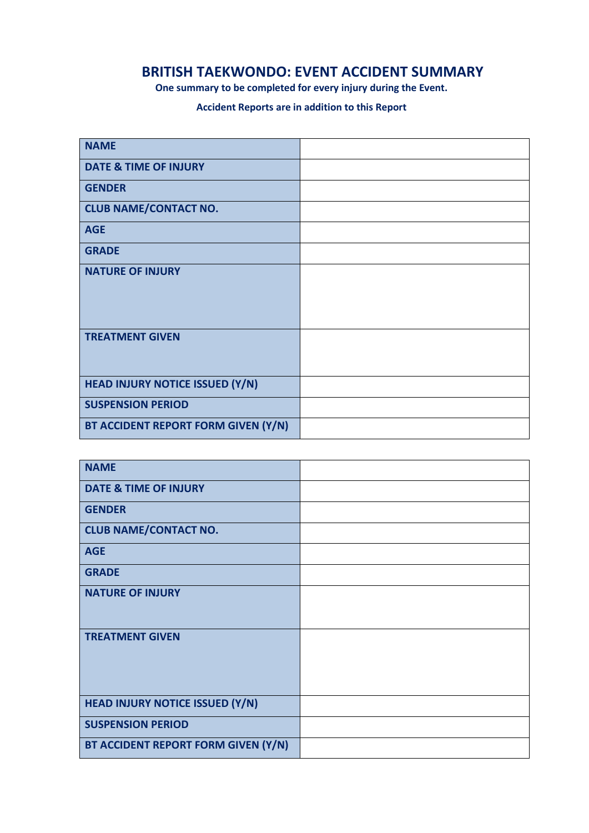## **BRITISH TAEKWONDO: EVENT ACCIDENT SUMMARY**

**One summary to be completed for every injury during the Event.** 

## **Accident Reports are in addition to this Report**

| <b>NAME</b>                         |  |
|-------------------------------------|--|
| <b>DATE &amp; TIME OF INJURY</b>    |  |
| <b>GENDER</b>                       |  |
| <b>CLUB NAME/CONTACT NO.</b>        |  |
| <b>AGE</b>                          |  |
| <b>GRADE</b>                        |  |
| <b>NATURE OF INJURY</b>             |  |
| <b>TREATMENT GIVEN</b>              |  |
| HEAD INJURY NOTICE ISSUED (Y/N)     |  |
| <b>SUSPENSION PERIOD</b>            |  |
| BT ACCIDENT REPORT FORM GIVEN (Y/N) |  |

| <b>NAME</b>                            |  |
|----------------------------------------|--|
| <b>DATE &amp; TIME OF INJURY</b>       |  |
| <b>GENDER</b>                          |  |
| <b>CLUB NAME/CONTACT NO.</b>           |  |
| <b>AGE</b>                             |  |
| <b>GRADE</b>                           |  |
| <b>NATURE OF INJURY</b>                |  |
| <b>TREATMENT GIVEN</b>                 |  |
| <b>HEAD INJURY NOTICE ISSUED (Y/N)</b> |  |
| <b>SUSPENSION PERIOD</b>               |  |
| BT ACCIDENT REPORT FORM GIVEN (Y/N)    |  |